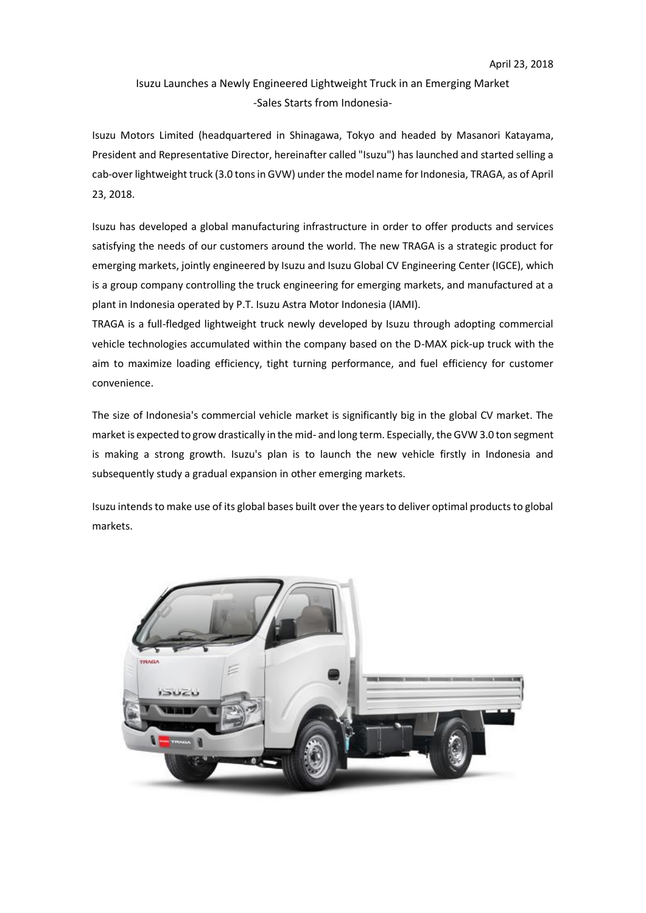## Isuzu Launches a Newly Engineered Lightweight Truck in an Emerging Market -Sales Starts from Indonesia-

Isuzu Motors Limited (headquartered in Shinagawa, Tokyo and headed by Masanori Katayama, President and Representative Director, hereinafter called "Isuzu") has launched and started selling a cab-over lightweight truck (3.0 tons in GVW) under the model name for Indonesia, TRAGA, as of April 23, 2018.

Isuzu has developed a global manufacturing infrastructure in order to offer products and services satisfying the needs of our customers around the world. The new TRAGA is a strategic product for emerging markets, jointly engineered by Isuzu and Isuzu Global CV Engineering Center (IGCE), which is a group company controlling the truck engineering for emerging markets, and manufactured at a plant in Indonesia operated by P.T. Isuzu Astra Motor Indonesia (IAMI).

TRAGA is a full-fledged lightweight truck newly developed by Isuzu through adopting commercial vehicle technologies accumulated within the company based on the D-MAX pick-up truck with the aim to maximize loading efficiency, tight turning performance, and fuel efficiency for customer convenience.

The size of Indonesia's commercial vehicle market is significantly big in the global CV market. The market is expected to grow drastically in the mid- and long term. Especially, the GVW 3.0 ton segment is making a strong growth. Isuzu's plan is to launch the new vehicle firstly in Indonesia and subsequently study a gradual expansion in other emerging markets.

Isuzu intends to make use of its global bases built over the years to deliver optimal products to global markets.

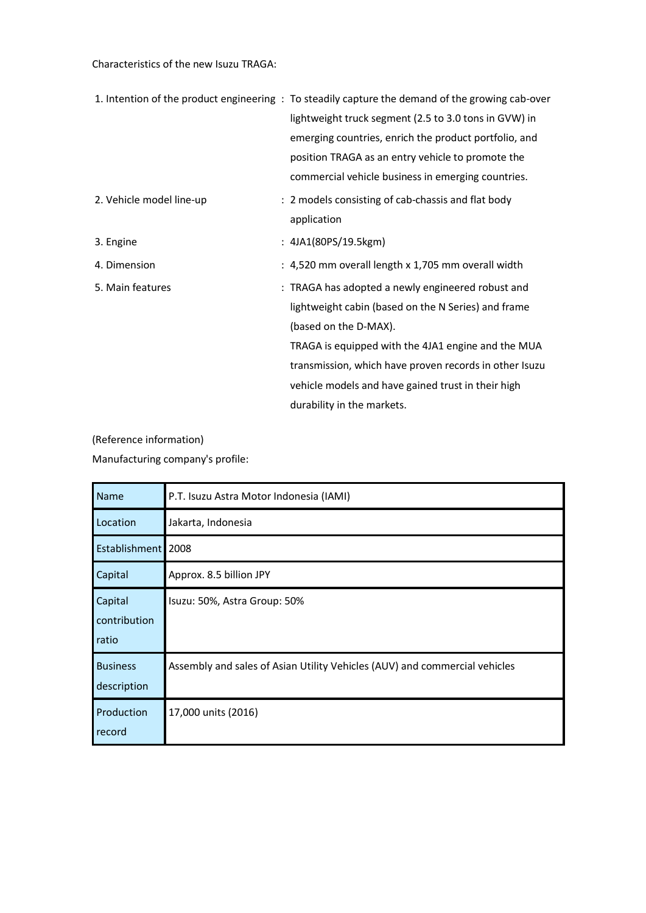Characteristics of the new Isuzu TRAGA:

|                          | 1. Intention of the product engineering: To steadily capture the demand of the growing cab-over |
|--------------------------|-------------------------------------------------------------------------------------------------|
|                          | lightweight truck segment (2.5 to 3.0 tons in GVW) in                                           |
|                          | emerging countries, enrich the product portfolio, and                                           |
|                          | position TRAGA as an entry vehicle to promote the                                               |
|                          | commercial vehicle business in emerging countries.                                              |
| 2. Vehicle model line-up | : 2 models consisting of cab-chassis and flat body                                              |
|                          | application                                                                                     |
| 3. Engine                | : 4JA1(80PS/19.5kgm)                                                                            |
| 4. Dimension             | : 4,520 mm overall length x 1,705 mm overall width                                              |
| 5. Main features         | : TRAGA has adopted a newly engineered robust and                                               |
|                          | lightweight cabin (based on the N Series) and frame                                             |
|                          | (based on the D-MAX).                                                                           |
|                          | TRAGA is equipped with the 4JA1 engine and the MUA                                              |
|                          | transmission, which have proven records in other Isuzu                                          |
|                          | vehicle models and have gained trust in their high                                              |
|                          | durability in the markets.                                                                      |

(Reference information) Manufacturing company's profile:

| Name                             | P.T. Isuzu Astra Motor Indonesia (IAMI)                                    |
|----------------------------------|----------------------------------------------------------------------------|
| Location                         | Jakarta, Indonesia                                                         |
| Establishment 2008               |                                                                            |
| Capital                          | Approx. 8.5 billion JPY                                                    |
| Capital<br>contribution<br>ratio | Isuzu: 50%, Astra Group: 50%                                               |
| <b>Business</b><br>description   | Assembly and sales of Asian Utility Vehicles (AUV) and commercial vehicles |
| Production<br>record             | 17,000 units (2016)                                                        |